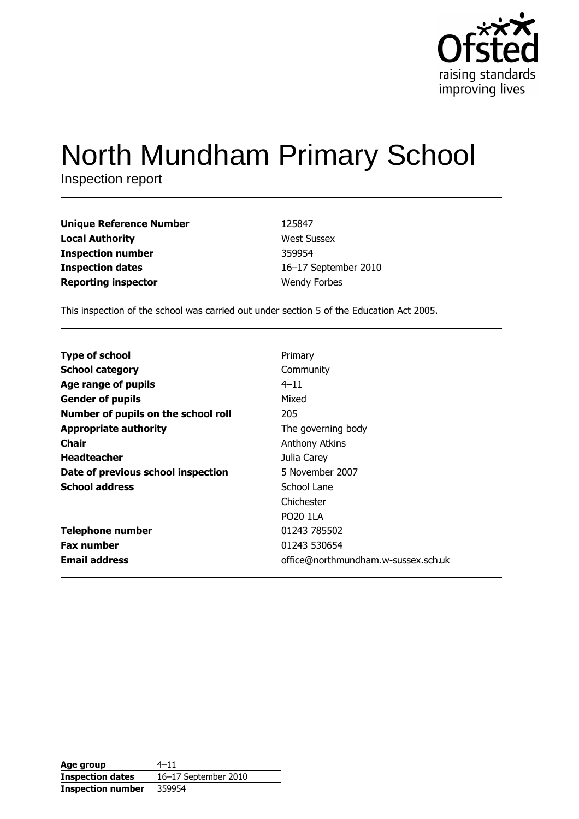

# North Mundham Primary School

Inspection report

| <b>Unique Reference Number</b> | 125847               |
|--------------------------------|----------------------|
| <b>Local Authority</b>         | <b>West Sussex</b>   |
| <b>Inspection number</b>       | 359954               |
| <b>Inspection dates</b>        | 16-17 September 2010 |
| <b>Reporting inspector</b>     | <b>Wendy Forbes</b>  |

This inspection of the school was carried out under section 5 of the Education Act 2005.

| Primary                             |
|-------------------------------------|
| Community                           |
| $4 - 11$                            |
| Mixed                               |
| 205                                 |
| The governing body                  |
| <b>Anthony Atkins</b>               |
| Julia Carey                         |
| 5 November 2007                     |
| School Lane                         |
| Chichester                          |
| <b>PO20 1LA</b>                     |
| 01243 785502                        |
| 01243 530654                        |
| office@northmundham.w-sussex.sch.uk |
|                                     |

| Age group                | $4 - 11$             |
|--------------------------|----------------------|
| <b>Inspection dates</b>  | 16-17 September 2010 |
| <b>Inspection number</b> | 359954               |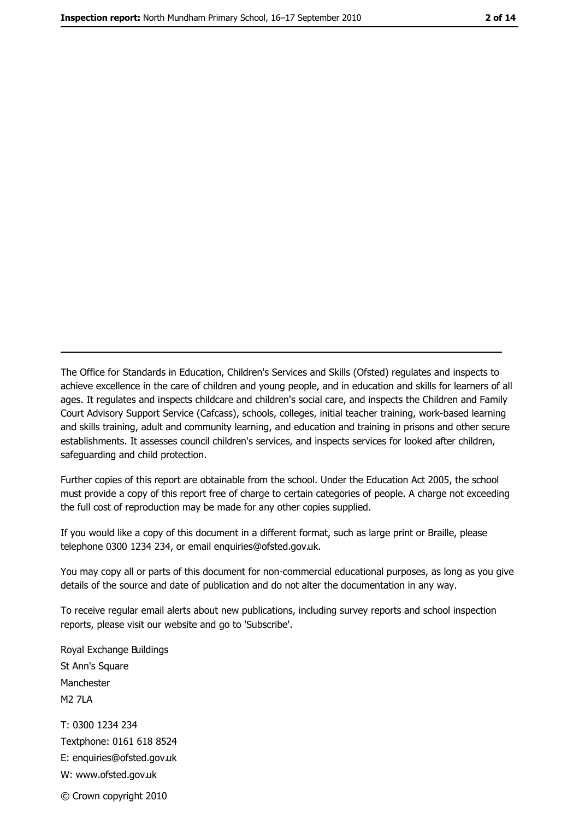The Office for Standards in Education, Children's Services and Skills (Ofsted) regulates and inspects to achieve excellence in the care of children and young people, and in education and skills for learners of all ages. It regulates and inspects childcare and children's social care, and inspects the Children and Family Court Advisory Support Service (Cafcass), schools, colleges, initial teacher training, work-based learning and skills training, adult and community learning, and education and training in prisons and other secure establishments. It assesses council children's services, and inspects services for looked after children, safeguarding and child protection.

Further copies of this report are obtainable from the school. Under the Education Act 2005, the school must provide a copy of this report free of charge to certain categories of people. A charge not exceeding the full cost of reproduction may be made for any other copies supplied.

If you would like a copy of this document in a different format, such as large print or Braille, please telephone 0300 1234 234, or email enquiries@ofsted.gov.uk.

You may copy all or parts of this document for non-commercial educational purposes, as long as you give details of the source and date of publication and do not alter the documentation in any way.

To receive regular email alerts about new publications, including survey reports and school inspection reports, please visit our website and go to 'Subscribe'.

Royal Exchange Buildings St Ann's Square Manchester **M2 7I A** T: 0300 1234 234 Textphone: 0161 618 8524 E: enquiries@ofsted.gov.uk W: www.ofsted.gov.uk © Crown copyright 2010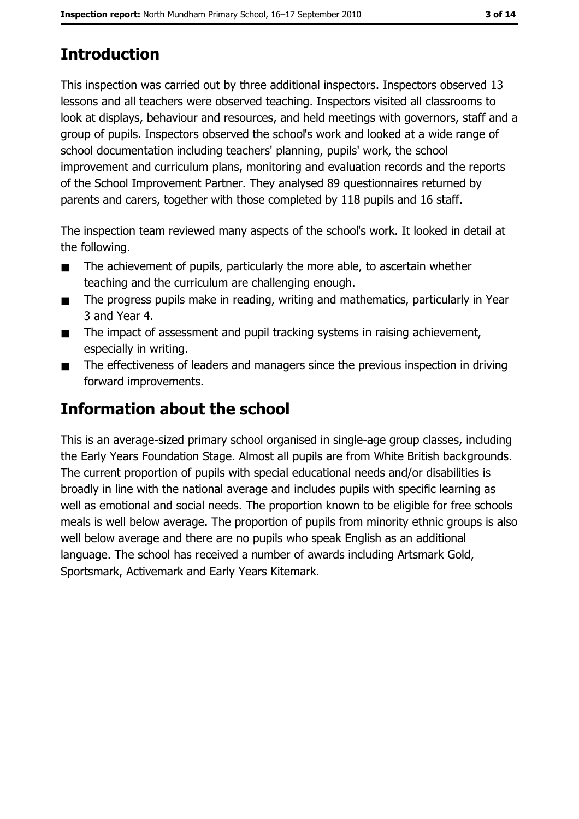# **Introduction**

This inspection was carried out by three additional inspectors. Inspectors observed 13 lessons and all teachers were observed teaching. Inspectors visited all classrooms to look at displays, behaviour and resources, and held meetings with governors, staff and a group of pupils. Inspectors observed the school's work and looked at a wide range of school documentation including teachers' planning, pupils' work, the school improvement and curriculum plans, monitoring and evaluation records and the reports of the School Improvement Partner. They analysed 89 questionnaires returned by parents and carers, together with those completed by 118 pupils and 16 staff.

The inspection team reviewed many aspects of the school's work. It looked in detail at the following.

- The achievement of pupils, particularly the more able, to ascertain whether  $\blacksquare$ teaching and the curriculum are challenging enough.
- The progress pupils make in reading, writing and mathematics, particularly in Year  $\blacksquare$ 3 and Year 4.
- The impact of assessment and pupil tracking systems in raising achievement,  $\blacksquare$ especially in writing.
- The effectiveness of leaders and managers since the previous inspection in driving  $\blacksquare$ forward improvements.

# **Information about the school**

This is an average-sized primary school organised in single-age group classes, including the Early Years Foundation Stage. Almost all pupils are from White British backgrounds. The current proportion of pupils with special educational needs and/or disabilities is broadly in line with the national average and includes pupils with specific learning as well as emotional and social needs. The proportion known to be eligible for free schools meals is well below average. The proportion of pupils from minority ethnic groups is also well below average and there are no pupils who speak English as an additional language. The school has received a number of awards including Artsmark Gold, Sportsmark, Activemark and Early Years Kitemark.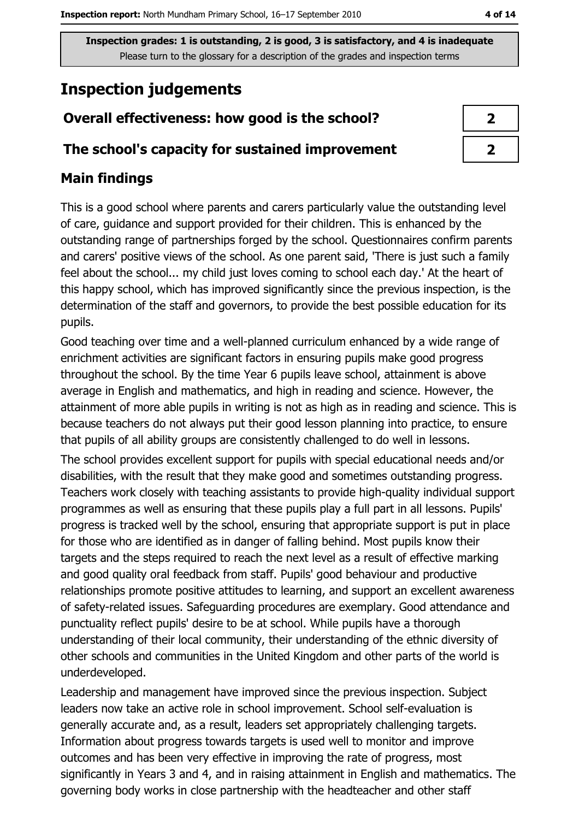# **Inspection judgements**

## Overall effectiveness: how good is the school?

#### The school's capacity for sustained improvement

## **Main findings**

This is a good school where parents and carers particularly value the outstanding level of care, guidance and support provided for their children. This is enhanced by the outstanding range of partnerships forged by the school. Questionnaires confirm parents and carers' positive views of the school. As one parent said, 'There is just such a family feel about the school... my child just loves coming to school each day.' At the heart of this happy school, which has improved significantly since the previous inspection, is the determination of the staff and governors, to provide the best possible education for its pupils.

Good teaching over time and a well-planned curriculum enhanced by a wide range of enrichment activities are significant factors in ensuring pupils make good progress throughout the school. By the time Year 6 pupils leave school, attainment is above average in English and mathematics, and high in reading and science. However, the attainment of more able pupils in writing is not as high as in reading and science. This is because teachers do not always put their good lesson planning into practice, to ensure that pupils of all ability groups are consistently challenged to do well in lessons.

The school provides excellent support for pupils with special educational needs and/or disabilities, with the result that they make good and sometimes outstanding progress. Teachers work closely with teaching assistants to provide high-quality individual support programmes as well as ensuring that these pupils play a full part in all lessons. Pupils' progress is tracked well by the school, ensuring that appropriate support is put in place for those who are identified as in danger of falling behind. Most pupils know their targets and the steps required to reach the next level as a result of effective marking and good quality oral feedback from staff. Pupils' good behaviour and productive relationships promote positive attitudes to learning, and support an excellent awareness of safety-related issues. Safeguarding procedures are exemplary. Good attendance and punctuality reflect pupils' desire to be at school. While pupils have a thorough understanding of their local community, their understanding of the ethnic diversity of other schools and communities in the United Kingdom and other parts of the world is underdeveloped.

Leadership and management have improved since the previous inspection. Subject leaders now take an active role in school improvement. School self-evaluation is generally accurate and, as a result, leaders set appropriately challenging targets. Information about progress towards targets is used well to monitor and improve outcomes and has been very effective in improving the rate of progress, most significantly in Years 3 and 4, and in raising attainment in English and mathematics. The governing body works in close partnership with the headteacher and other staff

| ↗ |
|---|
| 7 |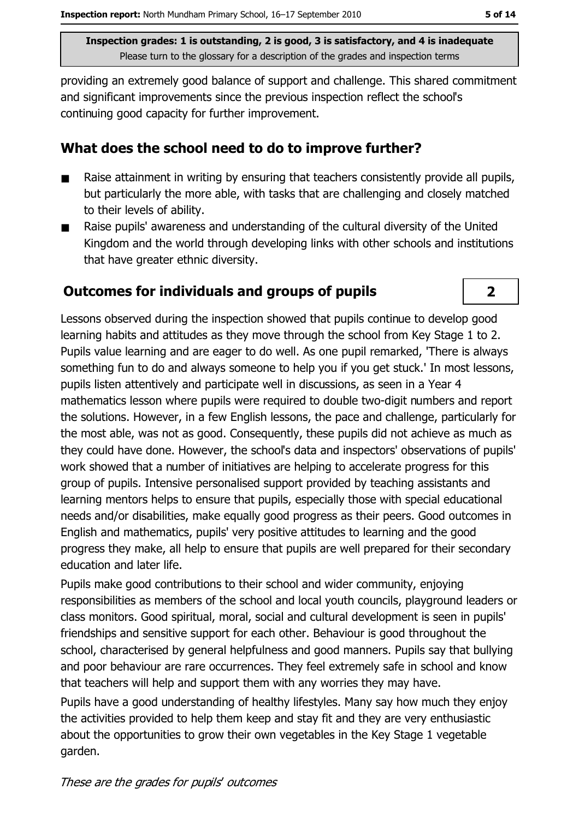providing an extremely good balance of support and challenge. This shared commitment and significant improvements since the previous inspection reflect the school's continuing good capacity for further improvement.

#### What does the school need to do to improve further?

- Raise attainment in writing by ensuring that teachers consistently provide all pupils,  $\blacksquare$ but particularly the more able, with tasks that are challenging and closely matched to their levels of ability.
- Raise pupils' awareness and understanding of the cultural diversity of the United  $\blacksquare$ Kingdom and the world through developing links with other schools and institutions that have greater ethnic diversity.

## **Outcomes for individuals and groups of pupils**

Lessons observed during the inspection showed that pupils continue to develop good learning habits and attitudes as they move through the school from Key Stage 1 to 2. Pupils value learning and are eager to do well. As one pupil remarked, 'There is always something fun to do and always someone to help you if you get stuck.' In most lessons, pupils listen attentively and participate well in discussions, as seen in a Year 4 mathematics lesson where pupils were required to double two-digit numbers and report the solutions. However, in a few English lessons, the pace and challenge, particularly for the most able, was not as good. Consequently, these pupils did not achieve as much as they could have done. However, the school's data and inspectors' observations of pupils' work showed that a number of initiatives are helping to accelerate progress for this group of pupils. Intensive personalised support provided by teaching assistants and learning mentors helps to ensure that pupils, especially those with special educational needs and/or disabilities, make equally good progress as their peers. Good outcomes in English and mathematics, pupils' very positive attitudes to learning and the good progress they make, all help to ensure that pupils are well prepared for their secondary education and later life.

Pupils make good contributions to their school and wider community, enjoying responsibilities as members of the school and local youth councils, playground leaders or class monitors. Good spiritual, moral, social and cultural development is seen in pupils' friendships and sensitive support for each other. Behaviour is good throughout the school, characterised by general helpfulness and good manners. Pupils say that bullying and poor behaviour are rare occurrences. They feel extremely safe in school and know that teachers will help and support them with any worries they may have.

Pupils have a good understanding of healthy lifestyles. Many say how much they enjoy the activities provided to help them keep and stay fit and they are very enthusiastic about the opportunities to grow their own vegetables in the Key Stage 1 vegetable garden.

 $\overline{2}$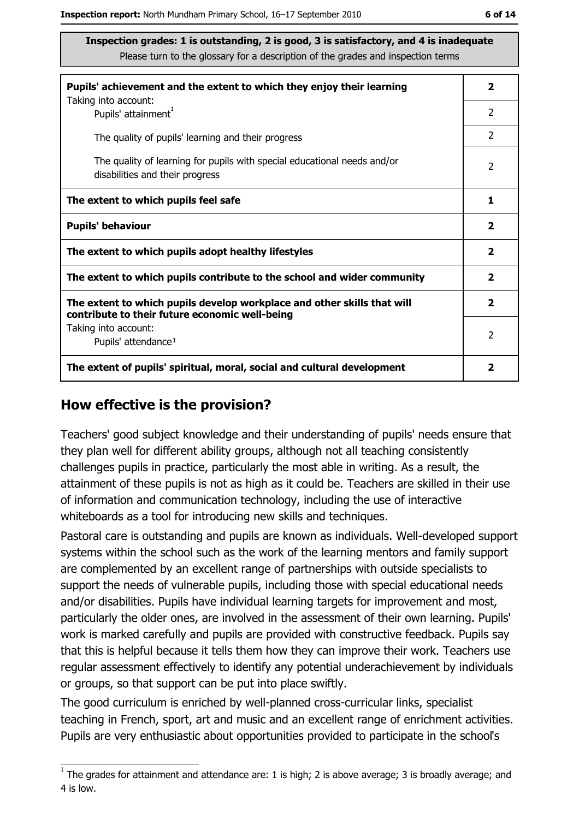| Pupils' achievement and the extent to which they enjoy their learning                                                     |                         |  |
|---------------------------------------------------------------------------------------------------------------------------|-------------------------|--|
| Taking into account:<br>Pupils' attainment <sup>1</sup>                                                                   | 2                       |  |
| The quality of pupils' learning and their progress                                                                        | $\mathcal{P}$           |  |
| The quality of learning for pupils with special educational needs and/or<br>disabilities and their progress               | 2                       |  |
| The extent to which pupils feel safe                                                                                      |                         |  |
| <b>Pupils' behaviour</b>                                                                                                  |                         |  |
| The extent to which pupils adopt healthy lifestyles                                                                       |                         |  |
| The extent to which pupils contribute to the school and wider community                                                   |                         |  |
| The extent to which pupils develop workplace and other skills that will<br>contribute to their future economic well-being | $\overline{\mathbf{2}}$ |  |
| Taking into account:<br>Pupils' attendance <sup>1</sup>                                                                   | $\mathcal{P}$           |  |
| The extent of pupils' spiritual, moral, social and cultural development                                                   |                         |  |

#### How effective is the provision?

Teachers' good subject knowledge and their understanding of pupils' needs ensure that they plan well for different ability groups, although not all teaching consistently challenges pupils in practice, particularly the most able in writing. As a result, the attainment of these pupils is not as high as it could be. Teachers are skilled in their use of information and communication technology, including the use of interactive whiteboards as a tool for introducing new skills and techniques.

Pastoral care is outstanding and pupils are known as individuals. Well-developed support systems within the school such as the work of the learning mentors and family support are complemented by an excellent range of partnerships with outside specialists to support the needs of vulnerable pupils, including those with special educational needs and/or disabilities. Pupils have individual learning targets for improvement and most, particularly the older ones, are involved in the assessment of their own learning. Pupils' work is marked carefully and pupils are provided with constructive feedback. Pupils say that this is helpful because it tells them how they can improve their work. Teachers use regular assessment effectively to identify any potential underachievement by individuals or groups, so that support can be put into place swiftly.

The good curriculum is enriched by well-planned cross-curricular links, specialist teaching in French, sport, art and music and an excellent range of enrichment activities. Pupils are very enthusiastic about opportunities provided to participate in the school's

 $1$  The arades for attainment and attendance are: 1 is high; 2 is above average; 3 is broadly average; and 4 is low.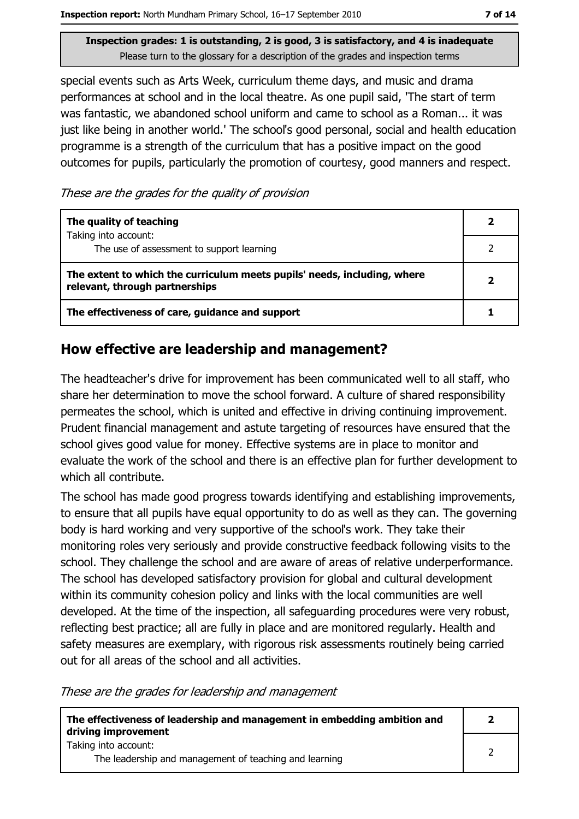Inspection report: North Mundham Primary School, 16-17 September 2010

Inspection grades: 1 is outstanding, 2 is good, 3 is satisfactory, and 4 is inadequate Please turn to the glossary for a description of the grades and inspection terms

special events such as Arts Week, curriculum theme days, and music and drama performances at school and in the local theatre. As one pupil said, 'The start of term was fantastic, we abandoned school uniform and came to school as a Roman... it was just like being in another world.' The school's good personal, social and health education programme is a strength of the curriculum that has a positive impact on the good outcomes for pupils, particularly the promotion of courtesy, good manners and respect.

These are the grades for the quality of provision

| The quality of teaching                                                                                    |  |
|------------------------------------------------------------------------------------------------------------|--|
| Taking into account:<br>The use of assessment to support learning                                          |  |
| The extent to which the curriculum meets pupils' needs, including, where<br>relevant, through partnerships |  |
| The effectiveness of care, guidance and support                                                            |  |

## How effective are leadership and management?

The headteacher's drive for improvement has been communicated well to all staff, who share her determination to move the school forward. A culture of shared responsibility permeates the school, which is united and effective in driving continuing improvement. Prudent financial management and astute targeting of resources have ensured that the school gives good value for money. Effective systems are in place to monitor and evaluate the work of the school and there is an effective plan for further development to which all contribute.

The school has made good progress towards identifying and establishing improvements, to ensure that all pupils have equal opportunity to do as well as they can. The governing body is hard working and very supportive of the school's work. They take their monitoring roles very seriously and provide constructive feedback following visits to the school. They challenge the school and are aware of areas of relative underperformance. The school has developed satisfactory provision for global and cultural development within its community cohesion policy and links with the local communities are well developed. At the time of the inspection, all safeguarding procedures were very robust, reflecting best practice; all are fully in place and are monitored regularly. Health and safety measures are exemplary, with rigorous risk assessments routinely being carried out for all areas of the school and all activities.

These are the grades for leadership and management

| The effectiveness of leadership and management in embedding ambition and<br>driving improvement |  |
|-------------------------------------------------------------------------------------------------|--|
| Taking into account:<br>The leadership and management of teaching and learning                  |  |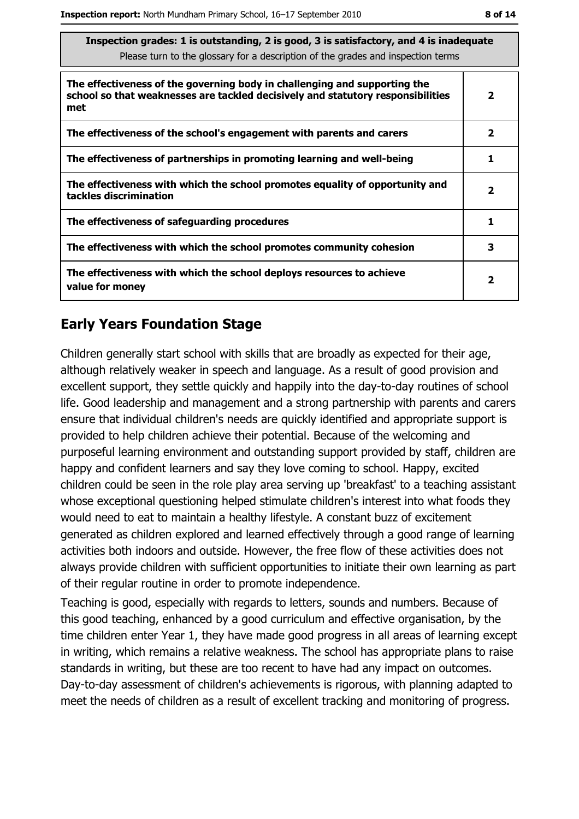| Inspection grades: I is outstanding, 2 is good, 5 is satisfactory, and 4 is inadequate<br>Please turn to the glossary for a description of the grades and inspection terms |                         |  |
|----------------------------------------------------------------------------------------------------------------------------------------------------------------------------|-------------------------|--|
| The effectiveness of the governing body in challenging and supporting the<br>school so that weaknesses are tackled decisively and statutory responsibilities<br>met        | 2                       |  |
| The effectiveness of the school's engagement with parents and carers                                                                                                       | $\overline{\mathbf{2}}$ |  |
| The effectiveness of partnerships in promoting learning and well-being                                                                                                     | 1                       |  |
| The effectiveness with which the school promotes equality of opportunity and<br>tackles discrimination                                                                     | 2                       |  |
| The effectiveness of safeguarding procedures                                                                                                                               | 1                       |  |
| The effectiveness with which the school promotes community cohesion                                                                                                        | 3                       |  |
| The effectiveness with which the school deploys resources to achieve<br>value for money                                                                                    | 2                       |  |

## **Early Years Foundation Stage**

Children generally start school with skills that are broadly as expected for their age, although relatively weaker in speech and language. As a result of good provision and excellent support, they settle quickly and happily into the day-to-day routines of school life. Good leadership and management and a strong partnership with parents and carers ensure that individual children's needs are quickly identified and appropriate support is provided to help children achieve their potential. Because of the welcoming and purposeful learning environment and outstanding support provided by staff, children are happy and confident learners and say they love coming to school. Happy, excited children could be seen in the role play area serving up 'breakfast' to a teaching assistant whose exceptional questioning helped stimulate children's interest into what foods they would need to eat to maintain a healthy lifestyle. A constant buzz of excitement generated as children explored and learned effectively through a good range of learning activities both indoors and outside. However, the free flow of these activities does not always provide children with sufficient opportunities to initiate their own learning as part of their regular routine in order to promote independence.

Teaching is good, especially with regards to letters, sounds and numbers. Because of this good teaching, enhanced by a good curriculum and effective organisation, by the time children enter Year 1, they have made good progress in all areas of learning except in writing, which remains a relative weakness. The school has appropriate plans to raise standards in writing, but these are too recent to have had any impact on outcomes. Day-to-day assessment of children's achievements is rigorous, with planning adapted to meet the needs of children as a result of excellent tracking and monitoring of progress.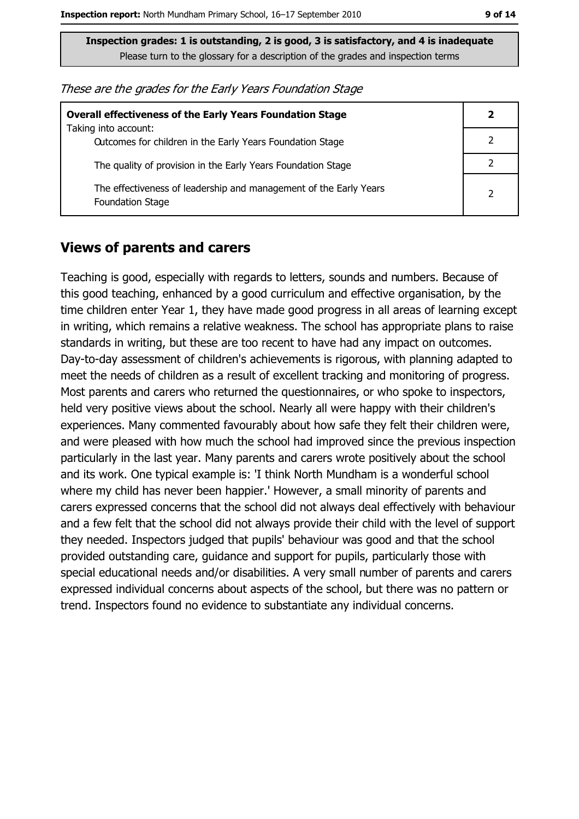| These are the grades for the Early Years Foundation Stage |  |  |  |
|-----------------------------------------------------------|--|--|--|
|-----------------------------------------------------------|--|--|--|

| <b>Overall effectiveness of the Early Years Foundation Stage</b><br>Taking into account:     | 2              |
|----------------------------------------------------------------------------------------------|----------------|
| Outcomes for children in the Early Years Foundation Stage                                    |                |
| The quality of provision in the Early Years Foundation Stage                                 |                |
| The effectiveness of leadership and management of the Early Years<br><b>Foundation Stage</b> | $\overline{2}$ |

#### **Views of parents and carers**

Teaching is good, especially with regards to letters, sounds and numbers. Because of this good teaching, enhanced by a good curriculum and effective organisation, by the time children enter Year 1, they have made good progress in all areas of learning except in writing, which remains a relative weakness. The school has appropriate plans to raise standards in writing, but these are too recent to have had any impact on outcomes. Day-to-day assessment of children's achievements is rigorous, with planning adapted to meet the needs of children as a result of excellent tracking and monitoring of progress. Most parents and carers who returned the questionnaires, or who spoke to inspectors, held very positive views about the school. Nearly all were happy with their children's experiences. Many commented favourably about how safe they felt their children were, and were pleased with how much the school had improved since the previous inspection particularly in the last year. Many parents and carers wrote positively about the school and its work. One typical example is: 'I think North Mundham is a wonderful school where my child has never been happier.' However, a small minority of parents and carers expressed concerns that the school did not always deal effectively with behaviour and a few felt that the school did not always provide their child with the level of support they needed. Inspectors judged that pupils' behaviour was good and that the school provided outstanding care, guidance and support for pupils, particularly those with special educational needs and/or disabilities. A very small number of parents and carers expressed individual concerns about aspects of the school, but there was no pattern or trend. Inspectors found no evidence to substantiate any individual concerns.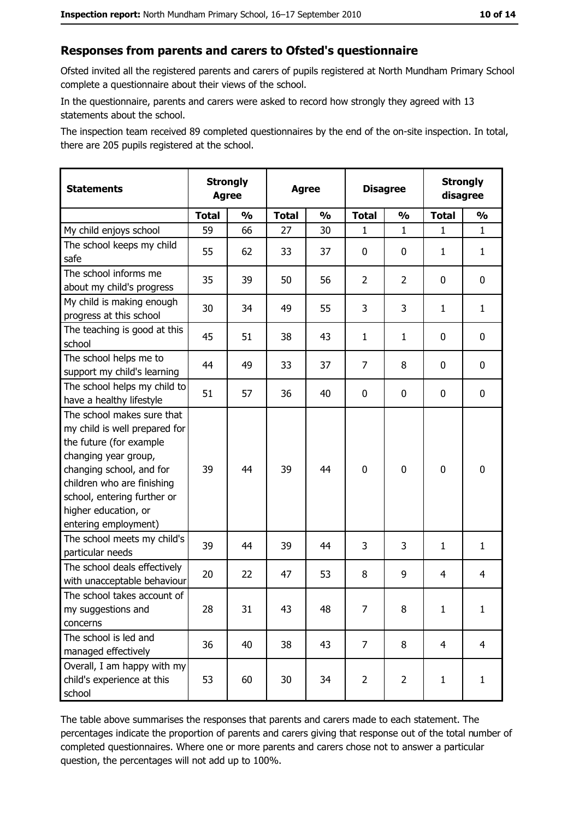#### Responses from parents and carers to Ofsted's questionnaire

Ofsted invited all the registered parents and carers of pupils registered at North Mundham Primary School complete a questionnaire about their views of the school.

In the questionnaire, parents and carers were asked to record how strongly they agreed with 13 statements about the school.

The inspection team received 89 completed questionnaires by the end of the on-site inspection. In total, there are 205 pupils registered at the school.

| <b>Statements</b>                                                                                                                                                                                                                                       | <b>Agree</b> | <b>Strongly</b> | <b>Agree</b> |               | <b>Disagree</b> |                | <b>Strongly</b><br>disagree |                |
|---------------------------------------------------------------------------------------------------------------------------------------------------------------------------------------------------------------------------------------------------------|--------------|-----------------|--------------|---------------|-----------------|----------------|-----------------------------|----------------|
|                                                                                                                                                                                                                                                         | <b>Total</b> | $\frac{1}{2}$   | <b>Total</b> | $\frac{0}{0}$ | <b>Total</b>    | $\frac{1}{2}$  | <b>Total</b>                | $\frac{1}{2}$  |
| My child enjoys school                                                                                                                                                                                                                                  | 59           | 66              | 27           | 30            | 1               | 1              | $\mathbf{1}$                | $\mathbf{1}$   |
| The school keeps my child<br>safe                                                                                                                                                                                                                       | 55           | 62              | 33           | 37            | $\mathbf 0$     | 0              | 1                           | $\mathbf{1}$   |
| The school informs me<br>about my child's progress                                                                                                                                                                                                      | 35           | 39              | 50           | 56            | $\overline{2}$  | $\overline{2}$ | 0                           | 0              |
| My child is making enough<br>progress at this school                                                                                                                                                                                                    | 30           | 34              | 49           | 55            | 3               | 3              | 1                           | $\mathbf{1}$   |
| The teaching is good at this<br>school                                                                                                                                                                                                                  | 45           | 51              | 38           | 43            | $\mathbf{1}$    | $\mathbf{1}$   | 0                           | 0              |
| The school helps me to<br>support my child's learning                                                                                                                                                                                                   | 44           | 49              | 33           | 37            | 7               | 8              | 0                           | $\mathbf 0$    |
| The school helps my child to<br>have a healthy lifestyle                                                                                                                                                                                                | 51           | 57              | 36           | 40            | $\mathbf 0$     | 0              | 0                           | $\mathbf 0$    |
| The school makes sure that<br>my child is well prepared for<br>the future (for example<br>changing year group,<br>changing school, and for<br>children who are finishing<br>school, entering further or<br>higher education, or<br>entering employment) | 39           | 44              | 39           | 44            | $\mathbf 0$     | 0              | $\mathbf 0$                 | $\mathbf 0$    |
| The school meets my child's<br>particular needs                                                                                                                                                                                                         | 39           | 44              | 39           | 44            | 3               | 3              | 1                           | $\mathbf{1}$   |
| The school deals effectively<br>with unacceptable behaviour                                                                                                                                                                                             | 20           | 22              | 47           | 53            | 8               | 9              | 4                           | 4              |
| The school takes account of<br>my suggestions and<br>concerns                                                                                                                                                                                           | 28           | 31              | 43           | 48            | 7               | 8              | $\mathbf{1}$                | $\mathbf{1}$   |
| The school is led and<br>managed effectively                                                                                                                                                                                                            | 36           | 40              | 38           | 43            | $\overline{7}$  | 8              | $\overline{4}$              | $\overline{4}$ |
| Overall, I am happy with my<br>child's experience at this<br>school                                                                                                                                                                                     | 53           | 60              | 30           | 34            | $\overline{2}$  | $\overline{2}$ | $\mathbf{1}$                | $\mathbf{1}$   |

The table above summarises the responses that parents and carers made to each statement. The percentages indicate the proportion of parents and carers giving that response out of the total number of completed questionnaires. Where one or more parents and carers chose not to answer a particular question, the percentages will not add up to 100%.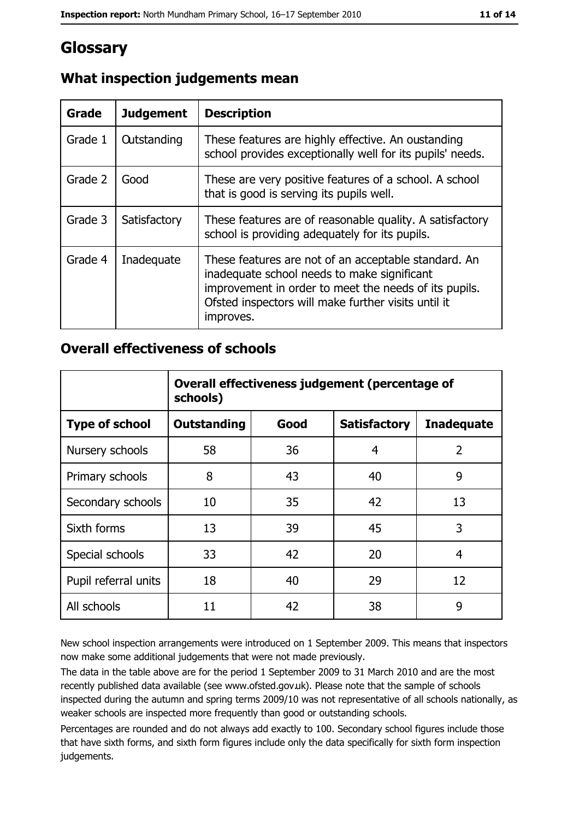# Glossary

| Grade   | <b>Judgement</b>   | <b>Description</b>                                                                                                                                                                                                               |
|---------|--------------------|----------------------------------------------------------------------------------------------------------------------------------------------------------------------------------------------------------------------------------|
| Grade 1 | <b>Outstanding</b> | These features are highly effective. An oustanding<br>school provides exceptionally well for its pupils' needs.                                                                                                                  |
| Grade 2 | Good               | These are very positive features of a school. A school<br>that is good is serving its pupils well.                                                                                                                               |
| Grade 3 | Satisfactory       | These features are of reasonable quality. A satisfactory<br>school is providing adequately for its pupils.                                                                                                                       |
| Grade 4 | Inadequate         | These features are not of an acceptable standard. An<br>inadequate school needs to make significant<br>improvement in order to meet the needs of its pupils.<br>Ofsted inspectors will make further visits until it<br>improves. |

## What inspection judgements mean

#### **Overall effectiveness of schools**

|                       | Overall effectiveness judgement (percentage of<br>schools) |      |                     |                   |
|-----------------------|------------------------------------------------------------|------|---------------------|-------------------|
| <b>Type of school</b> | <b>Outstanding</b>                                         | Good | <b>Satisfactory</b> | <b>Inadequate</b> |
| Nursery schools       | 58                                                         | 36   | 4                   | $\overline{2}$    |
| Primary schools       | 8                                                          | 43   | 40                  | 9                 |
| Secondary schools     | 10                                                         | 35   | 42                  | 13                |
| Sixth forms           | 13                                                         | 39   | 45                  | 3                 |
| Special schools       | 33                                                         | 42   | 20                  | 4                 |
| Pupil referral units  | 18                                                         | 40   | 29                  | 12                |
| All schools           | 11                                                         | 42   | 38                  | 9                 |

New school inspection arrangements were introduced on 1 September 2009. This means that inspectors now make some additional judgements that were not made previously.

The data in the table above are for the period 1 September 2009 to 31 March 2010 and are the most recently published data available (see www.ofsted.gov.uk). Please note that the sample of schools inspected during the autumn and spring terms 2009/10 was not representative of all schools nationally, as weaker schools are inspected more frequently than good or outstanding schools.

Percentages are rounded and do not always add exactly to 100. Secondary school figures include those that have sixth forms, and sixth form figures include only the data specifically for sixth form inspection judgements.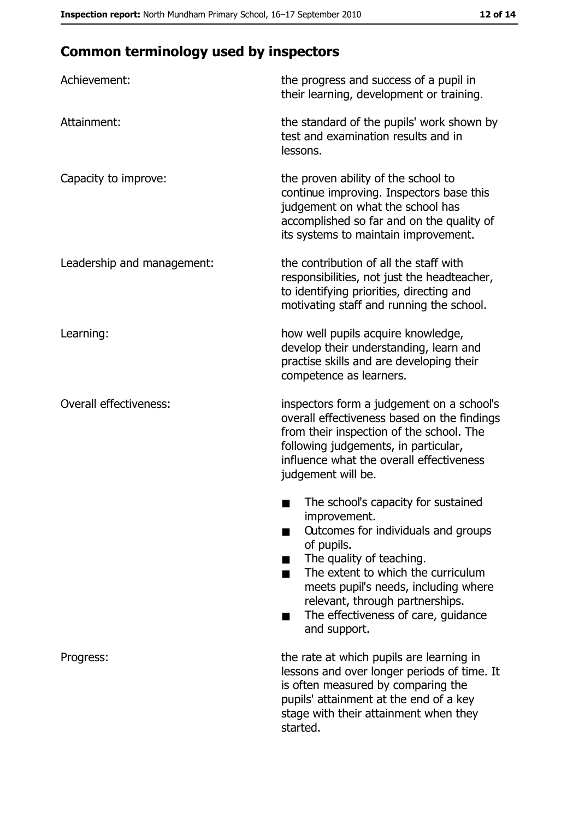# **Common terminology used by inspectors**

| Achievement:                  | the progress and success of a pupil in<br>their learning, development or training.                                                                                                                                                                                                                           |  |
|-------------------------------|--------------------------------------------------------------------------------------------------------------------------------------------------------------------------------------------------------------------------------------------------------------------------------------------------------------|--|
| Attainment:                   | the standard of the pupils' work shown by<br>test and examination results and in<br>lessons.                                                                                                                                                                                                                 |  |
| Capacity to improve:          | the proven ability of the school to<br>continue improving. Inspectors base this<br>judgement on what the school has<br>accomplished so far and on the quality of<br>its systems to maintain improvement.                                                                                                     |  |
| Leadership and management:    | the contribution of all the staff with<br>responsibilities, not just the headteacher,<br>to identifying priorities, directing and<br>motivating staff and running the school.                                                                                                                                |  |
| Learning:                     | how well pupils acquire knowledge,<br>develop their understanding, learn and<br>practise skills and are developing their<br>competence as learners.                                                                                                                                                          |  |
| <b>Overall effectiveness:</b> | inspectors form a judgement on a school's<br>overall effectiveness based on the findings<br>from their inspection of the school. The<br>following judgements, in particular,<br>influence what the overall effectiveness<br>judgement will be.                                                               |  |
|                               | The school's capacity for sustained<br>improvement.<br>Outcomes for individuals and groups<br>of pupils.<br>The quality of teaching.<br>The extent to which the curriculum<br>meets pupil's needs, including where<br>relevant, through partnerships.<br>The effectiveness of care, guidance<br>and support. |  |
| Progress:                     | the rate at which pupils are learning in<br>lessons and over longer periods of time. It<br>is often measured by comparing the<br>pupils' attainment at the end of a key<br>stage with their attainment when they<br>started.                                                                                 |  |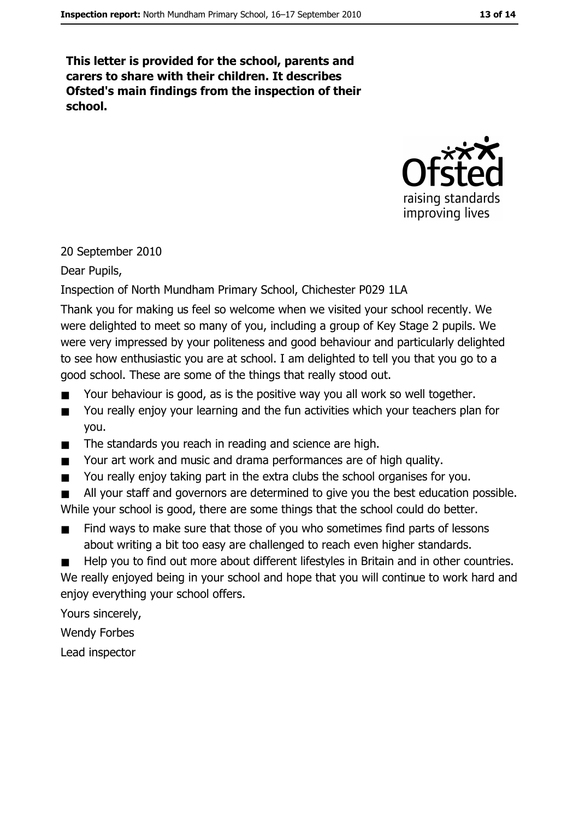This letter is provided for the school, parents and carers to share with their children. It describes Ofsted's main findings from the inspection of their school.



#### 20 September 2010

Dear Pupils,

#### Inspection of North Mundham Primary School, Chichester P029 1LA

Thank you for making us feel so welcome when we visited your school recently. We were delighted to meet so many of you, including a group of Key Stage 2 pupils. We were very impressed by your politeness and good behaviour and particularly delighted to see how enthusiastic you are at school. I am delighted to tell you that you go to a good school. These are some of the things that really stood out.

- Your behaviour is good, as is the positive way you all work so well together.
- You really enjoy your learning and the fun activities which your teachers plan for  $\blacksquare$ vou.
- The standards you reach in reading and science are high.  $\blacksquare$
- Your art work and music and drama performances are of high quality.  $\blacksquare$
- You really enjoy taking part in the extra clubs the school organises for you.  $\blacksquare$
- All your staff and governors are determined to give you the best education possible. While your school is good, there are some things that the school could do better.
- Find ways to make sure that those of you who sometimes find parts of lessons  $\blacksquare$ about writing a bit too easy are challenged to reach even higher standards.
- Help you to find out more about different lifestyles in Britain and in other countries.

We really enjoyed being in your school and hope that you will continue to work hard and enjoy everything your school offers.

Yours sincerely,

**Wendy Forbes** 

Lead inspector